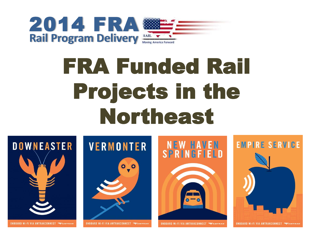

# FRA Funded Rail Projects in the Northeast

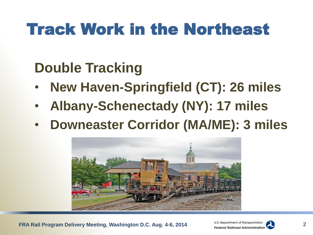## Track Work in the Northeast

### **Double Tracking**

- **New Haven-Springfield (CT): 26 miles**
- **Albany-Schenectady (NY): 17 miles**
- **Downeaster Corridor (MA/ME): 3 miles**



**FRA Rail Program Delivery Meeting, Washington D.C. Aug. 4-6, 2014**

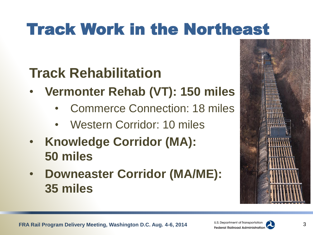## Track Work in the Northeast

### **Track Rehabilitation**

- **Vermonter Rehab (VT): 150 miles**
	- Commerce Connection: 18 miles
	- Western Corridor: 10 miles
- **Knowledge Corridor (MA): 50 miles**
- **Downeaster Corridor (MA/ME): 35 miles**





3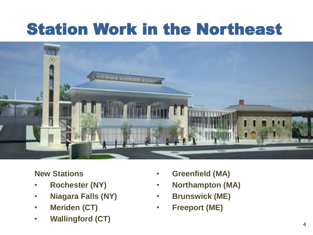## Station Work in the Northeast



#### **New Stations**

- **Rochester (NY)**
- **Niagara Falls (NY)**
- **Meriden (CT)**
- **FRA RAIL PROGRAM DELIVERY MEETING, WASHINGTON DELIVERY MEETING, WASHINGTON DELIVERY MEETING, WASHINGTON DELIVERY** • **Wallingford (CT)**
- **Greenfield (MA)**
- **Northampton (MA)**
- **Brunswick (ME)**
- **Freeport (ME)**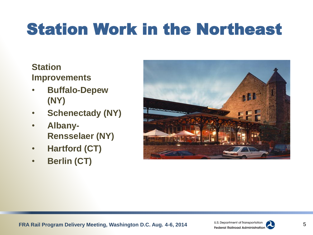## Station Work in the Northeast

#### **Station Improvements**

- **Buffalo-Depew (NY)**
- **Schenectady (NY)**
- **Albany-Rensselaer (NY)**
- **Hartford (CT)**
- **Berlin (CT)**



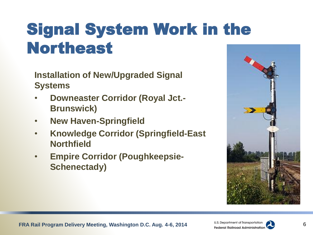## Signal System Work in the Northeast

**Installation of New/Upgraded Signal Systems** 

- **Downeaster Corridor (Royal Jct.- Brunswick)**
- **New Haven-Springfield**
- **Knowledge Corridor (Springfield-East Northfield**
- **Empire Corridor (Poughkeepsie-Schenectady)**





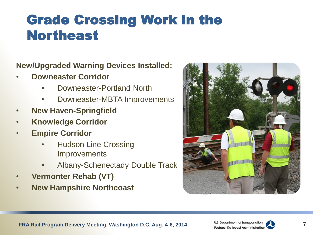### Grade Crossing Work in the Northeast

#### **New/Upgraded Warning Devices Installed:**

- **Downeaster Corridor**
	- Downeaster-Portland North
	- Downeaster-MBTA Improvements
- **New Haven-Springfield**
- **Knowledge Corridor**
- **Empire Corridor** 
	- Hudson Line Crossing **Improvements**
	- Albany-Schenectady Double Track
- **Vermonter Rehab (VT)**
- **New Hampshire Northcoast**



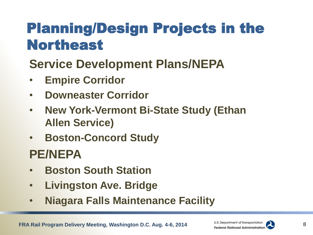### Planning/Design Projects in the Northeast

### **Service Development Plans/NEPA**

- **Empire Corridor**
- **Downeaster Corridor**
- **New York-Vermont Bi-State Study (Ethan Allen Service)**
- **Boston-Concord Study**

### **PE/NEPA**

- **Boston South Station**
- **Livingston Ave. Bridge**
- **Niagara Falls Maintenance Facility**